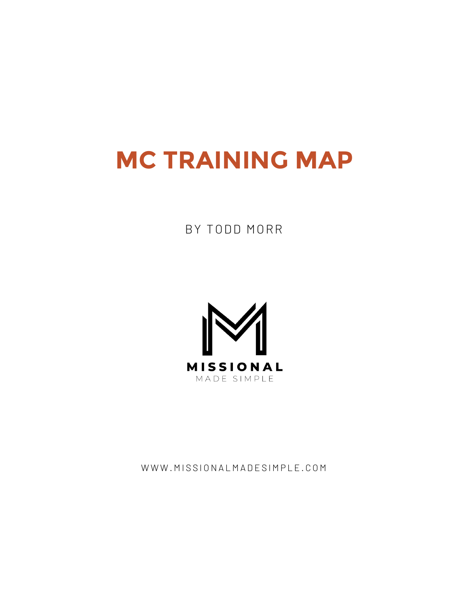## **MC TRAINING MAP**

#### BY TODD MORR



WWW.MISSIONALMADESIMPLE.COM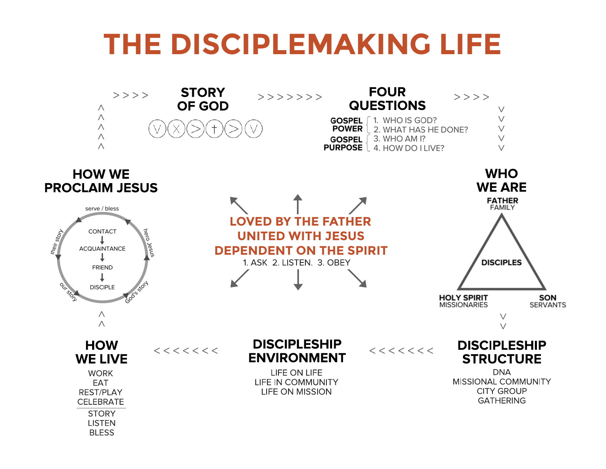# **THE DISCIPLEMAKING LIFE**

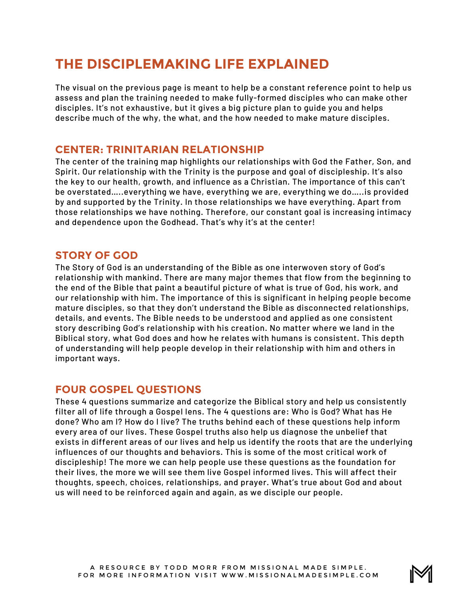### **THE DISCIPLEMAKING LIFE EXPLAINED**

The visual on the previous page is meant to help be a constant reference point to help us assess and plan the training needed to make fully-formed disciples who can make other disciples. It's not exhaustive, but it gives a big picture plan to guide you and helps describe much of the why, the what, and the how needed to make mature disciples.

#### **CENTER: TRINITARIAN RELATIONSHIP**

The center of the training map highlights our relationships with God the Father, Son, and Spirit. Our relationship with the Trinity is the purpose and goal of discipleship. It's also the key to our health, growth, and influence as a Christian. The importance of this can't be overstated…..everything we have, everything we are, everything we do…..is provided by and supported by the Trinity. In those relationships we have everything. Apart from those relationships we have nothing. Therefore, our constant goal is increasing intimacy and dependence upon the Godhead. That's why it's at the center!

#### **STORY OF GOD**

The Story of God is an understanding of the Bible as one interwoven story of God's relationship with mankind. There are many major themes that flow from the beginning to the end of the Bible that paint a beautiful picture of what is true of God, his work, and our relationship with him. The importance of this is significant in helping people become mature disciples, so that they don't understand the Bible as disconnected relationships, details, and events. The Bible needs to be understood and applied as one consistent story describing God's relationship with his creation. No matter where we land in the Biblical story, what God does and how he relates with humans is consistent. This depth of understanding will help people develop in their relationship with him and others in important ways.

#### **FOUR GOSPEL QUESTIONS**

These 4 questions summarize and categorize the Biblical story and help us consistently filter all of life through a Gospel lens. The 4 questions are: Who is God? What has He done? Who am I? How do I live? The truths behind each of these questions help inform every area of our lives. These Gospel truths also help us diagnose the unbelief that exists in different areas of our lives and help us identify the roots that are the underlying influences of our thoughts and behaviors. This is some of the most critical work of discipleship! The more we can help people use these questions as the foundation for their lives, the more we will see them live Gospel informed lives. This will affect their thoughts, speech, choices, relationships, and prayer. What's true about God and about us will need to be reinforced again and again, as we disciple our people.

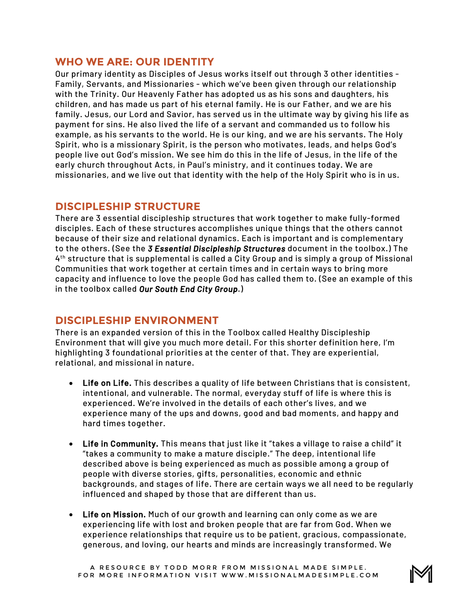#### **WHO WE ARE: OUR IDENTITY**

Our primary identity as Disciples of Jesus works itself out through 3 other identities - Family, Servants, and Missionaries - which we've been given through our relationship with the Trinity. Our Heavenly Father has adopted us as his sons and daughters, his children, and has made us part of his eternal family. He is our Father, and we are his family. Jesus, our Lord and Savior, has served us in the ultimate way by giving his life as payment for sins. He also lived the life of a servant and commanded us to follow his example, as his servants to the world. He is our king, and we are his servants. The Holy Spirit, who is a missionary Spirit, is the person who motivates, leads, and helps God's people live out God's mission. We see him do this in the life of Jesus, in the life of the early church throughout Acts, in Paul's ministry, and it continues today. We are missionaries, and we live out that identity with the help of the Holy Spirit who is in us.

#### **DISCIPLESHIP STRUCTURE**

There are 3 essential discipleship structures that work together to make fully-formed disciples. Each of these structures accomplishes unique things that the others cannot because of their size and relational dynamics. Each is important and is complementary to the others. (See the *3 Essential Discipleship Structures* document in the toolbox.) The 4th structure that is supplemental is called a City Group and is simply a group of Missional Communities that work together at certain times and in certain ways to bring more capacity and influence to love the people God has called them to. (See an example of this in the toolbox called *Our South End City Group*.)

#### **DISCIPLESHIP ENVIRONMENT**

There is an expanded version of this in the Toolbox called Healthy Discipleship Environment that will give you much more detail. For this shorter definition here, I'm highlighting 3 foundational priorities at the center of that. They are experiential, relational, and missional in nature.

- Life on Life. This describes a quality of life between Christians that is consistent, intentional, and vulnerable. The normal, everyday stuff of life is where this is experienced. We're involved in the details of each other's lives, and we experience many of the ups and downs, good and bad moments, and happy and hard times together.
- Life in Community. This means that just like it "takes a village to raise a child" it "takes a community to make a mature disciple." The deep, intentional life described above is being experienced as much as possible among a group of people with diverse stories, gifts, personalities, economic and ethnic backgrounds, and stages of life. There are certain ways we all need to be regularly influenced and shaped by those that are different than us.
- Life on Mission. Much of our growth and learning can only come as we are experiencing life with lost and broken people that are far from God. When we experience relationships that require us to be patient, gracious, compassionate, generous, and loving, our hearts and minds are increasingly transformed. We

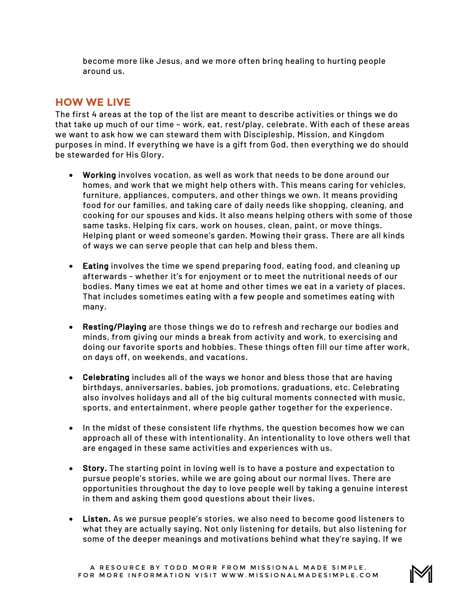become more like Jesus, and we more often bring healing to hurting people around us.

#### **HOW WE LIVE**

The first 4 areas at the top of the list are meant to describe activities or things we do that take up much of our time – work, eat, rest/play, celebrate. With each of these areas we want to ask how we can steward them with Discipleship, Mission, and Kingdom purposes in mind. If everything we have is a gift from God, then everything we do should be stewarded for His Glory.

- Working involves vocation, as well as work that needs to be done around our homes, and work that we might help others with. This means caring for vehicles, furniture, appliances, computers, and other things we own. It means providing food for our families, and taking care of daily needs like shopping, cleaning, and cooking for our spouses and kids. It also means helping others with some of those same tasks. Helping fix cars, work on houses, clean, paint, or move things. Helping plant or weed someone's garden. Mowing their grass. There are all kinds of ways we can serve people that can help and bless them.
- Eating involves the time we spend preparing food, eating food, and cleaning up afterwards - whether it's for enjoyment or to meet the nutritional needs of our bodies. Many times we eat at home and other times we eat in a variety of places. That includes sometimes eating with a few people and sometimes eating with many.
- Resting/Playing are those things we do to refresh and recharge our bodies and minds, from giving our minds a break from activity and work, to exercising and doing our favorite sports and hobbies. These things often fill our time after work, on days off, on weekends, and vacations.
- Celebrating includes all of the ways we honor and bless those that are having birthdays, anniversaries, babies, job promotions, graduations, etc. Celebrating also involves holidays and all of the big cultural moments connected with music, sports, and entertainment, where people gather together for the experience.
- In the midst of these consistent life rhythms, the question becomes how we can approach all of these with intentionality. An intentionality to love others well that are engaged in these same activities and experiences with us.
- Story. The starting point in loving well is to have a posture and expectation to pursue people's stories, while we are going about our normal lives. There are opportunities throughout the day to love people well by taking a genuine interest in them and asking them good questions about their lives.
- Listen. As we pursue people's stories, we also need to become good listeners to what they are actually saying. Not only listening for details, but also listening for some of the deeper meanings and motivations behind what they're saying. If we